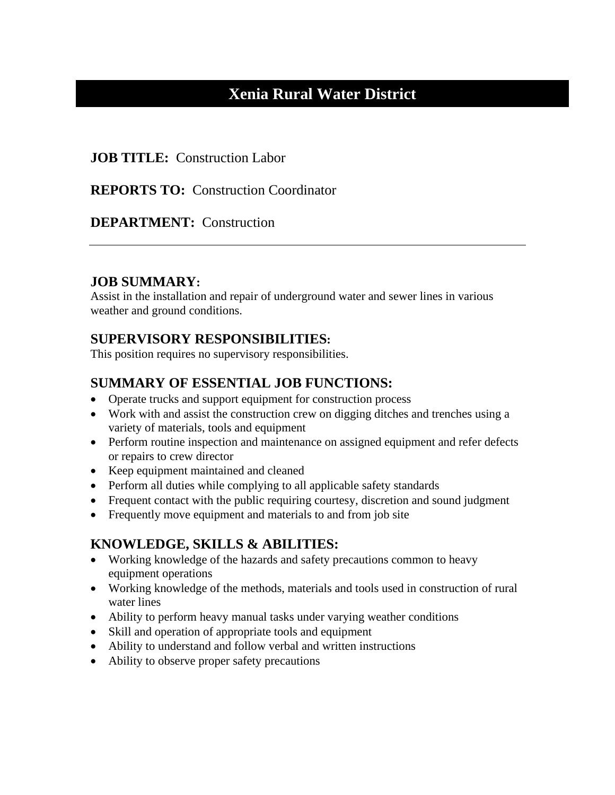# **Xenia Rural Water District**

#### **JOB TITLE:** Construction Labor

#### **REPORTS TO: Construction Coordinator**

### **DEPARTMENT:** Construction

### **JOB SUMMARY:**

Assist in the installation and repair of underground water and sewer lines in various weather and ground conditions.

## **SUPERVISORY RESPONSIBILITIES:**

This position requires no supervisory responsibilities.

# **SUMMARY OF ESSENTIAL JOB FUNCTIONS:**

- Operate trucks and support equipment for construction process
- Work with and assist the construction crew on digging ditches and trenches using a variety of materials, tools and equipment
- Perform routine inspection and maintenance on assigned equipment and refer defects or repairs to crew director
- Keep equipment maintained and cleaned
- Perform all duties while complying to all applicable safety standards
- Frequent contact with the public requiring courtesy, discretion and sound judgment
- Frequently move equipment and materials to and from job site

## **KNOWLEDGE, SKILLS & ABILITIES:**

- Working knowledge of the hazards and safety precautions common to heavy equipment operations
- Working knowledge of the methods, materials and tools used in construction of rural water lines
- Ability to perform heavy manual tasks under varying weather conditions
- Skill and operation of appropriate tools and equipment
- Ability to understand and follow verbal and written instructions
- Ability to observe proper safety precautions